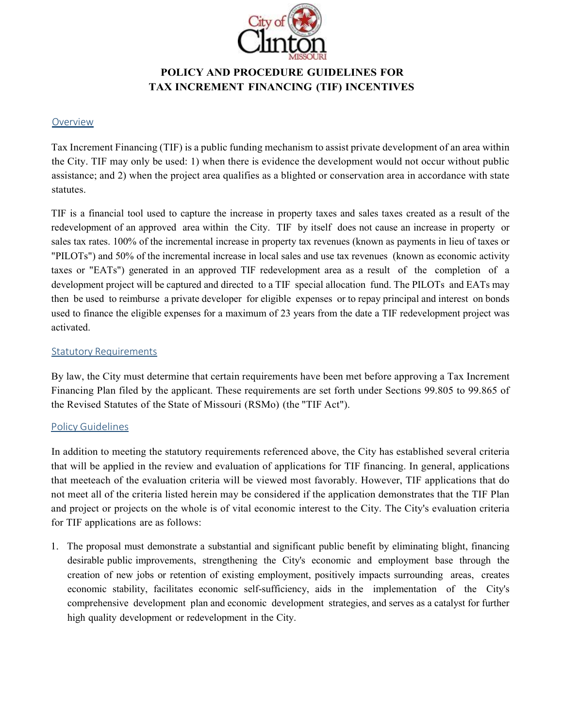

# **POLICY AND PROCEDURE GUIDELINES FOR TAX INCREMENT FINANCING (TIF) INCENTIVES**

#### Overview

Tax Increment Financing (TIF) is a public funding mechanism to assist private development of an area within the City. TIF may only be used: 1) when there is evidence the development would not occur without public assistance; and 2) when the project area qualifies as a blighted or conservation area in accordance with state statutes.

TIF is a financial tool used to capture the increase in property taxes and sales taxes created as a result of the redevelopment of an approved area within the City. TIF by itself does not cause an increase in property or sales tax rates. 100% of the incremental increase in property tax revenues (known as payments in lieu of taxes or "PILOTs") and 50% of the incremental increase in local sales and use tax revenues (known as economic activity taxes or "EATs") generated in an approved TIF redevelopment area as a result of the completion of a development project will be captured and directed to a TIF special allocation fund. The PILOTs and EATs may then be used to reimburse a private developer for eligible expenses or to repay principal and interest on bonds used to finance the eligible expenses for a maximum of 23 years from the date a TIF redevelopment project was activated.

### **Statutory Requirements**

By law, the City must determine that certain requirements have been met before approving a Tax Increment Financing Plan filed by the applicant. These requirements are set forth under Sections 99.805 to 99.865 of the Revised Statutes of the State of Missouri (RSMo) (the "TIF Act").

#### Policy Guidelines

In addition to meeting the statutory requirements referenced above, the City has established several criteria that will be applied in the review and evaluation of applications for TIF financing. In general, applications that meeteach of the evaluation criteria will be viewed most favorably. However, TIF applications that do not meet all of the criteria listed herein may be considered if the application demonstrates that the TIF Plan and project or projects on the whole is of vital economic interest to the City. The City's evaluation criteria for TIF applications are as follows:

1. The proposal must demonstrate a substantial and significant public benefit by eliminating blight, financing desirable public improvements, strengthening the City's economic and employment base through the creation of new jobs or retention of existing employment, positively impacts surrounding areas, creates economic stability, facilitates economic self-sufficiency, aids in the implementation of the City's comprehensive development plan and economic development strategies, and serves as a catalyst for further high quality development or redevelopment in the City.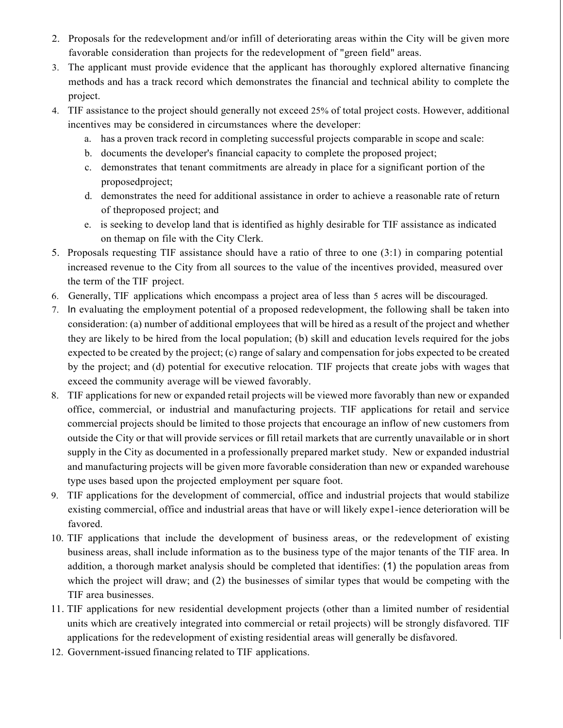- 2. Proposals for the redevelopment and/or infill of deteriorating areas within the City will be given more favorable consideration than projects for the redevelopment of "green field" areas.
- 3. The applicant must provide evidence that the applicant has thoroughly explored alternative financing methods and has a track record which demonstrates the financial and technical ability to complete the project.
- 4. TIF assistance to the project should generally not exceed 25% of total project costs. However, additional incentives may be considered in circumstances where the developer:
	- a. has a proven track record in completing successful projects comparable in scope and scale:
	- b. documents the developer's financial capacity to complete the proposed project;
	- c. demonstrates that tenant commitments are already in place for a significant portion of the proposedproject;
	- d. demonstrates the need for additional assistance in order to achieve a reasonable rate of return of theproposed project; and
	- e. is seeking to develop land that is identified as highly desirable for TIF assistance as indicated on themap on file with the City Clerk.
- 5. Proposals requesting TIF assistance should have a ratio of three to one (3:1) in comparing potential increased revenue to the City from all sources to the value of the incentives provided, measured over the term of the TIF project.
- 6. Generally, TIF applications which encompass a project area of less than 5 acres will be discouraged.
- 7. In evaluating the employment potential of a proposed redevelopment, the following shall be taken into consideration: (a) number of additional employees that will be hired as a result of the project and whether they are likely to be hired from the local population; (b) skill and education levels required for the jobs expected to be created by the project; (c) range of salary and compensation for jobs expected to be created by the project; and (d) potential for executive relocation. TIF projects that create jobs with wages that exceed the community average will be viewed favorably.
- 8. TIF applications for new or expanded retail projects will be viewed more favorably than new or expanded office, commercial, or industrial and manufacturing projects. TIF applications for retail and service commercial projects should be limited to those projects that encourage an inflow of new customers from outside the City or that will provide services or fill retail markets that are currently unavailable or in short supply in the City as documented in a professionally prepared market study. New or expanded industrial and manufacturing projects will be given more favorable consideration than new or expanded warehouse type uses based upon the projected employment per square foot.
- 9. TIF applications for the development of commercial, office and industrial projects that would stabilize existing commercial, office and industrial areas that have or will likely expe1-ience deterioration will be favored.
- 10. TIF applications that include the development of business areas, or the redevelopment of existing business areas, shall include information as to the business type of the major tenants of the TIF area. In addition, a thorough market analysis should be completed that identifies: (1) the population areas from which the project will draw; and (2) the businesses of similar types that would be competing with the TIF area businesses.
- 11. TIF applications for new residential development projects (other than a limited number of residential units which are creatively integrated into commercial or retail projects) will be strongly disfavored. TIF applications for the redevelopment of existing residential areas will generally be disfavored.
- 12. Government-issued financing related to TIF applications.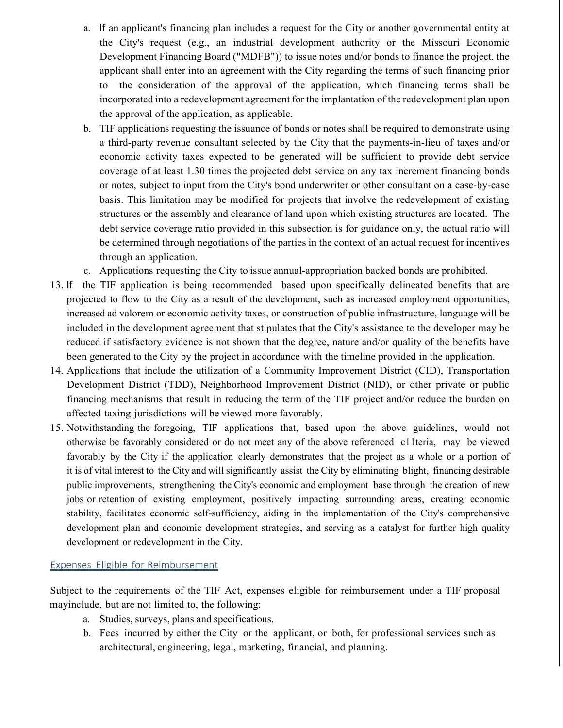- a. If an applicant's financing plan includes a request for the City or another governmental entity at the City's request (e.g., an industrial development authority or the Missouri Economic Development Financing Board ("MDFB")) to issue notes and/or bonds to finance the project, the applicant shall enter into an agreement with the City regarding the terms of such financing prior to the consideration of the approval of the application, which financing terms shall be incorporated into a redevelopment agreement for the implantation of the redevelopment plan upon the approval of the application, as applicable.
- b. TIF applications requesting the issuance of bonds or notes shall be required to demonstrate using a third-party revenue consultant selected by the City that the payments-in-lieu of taxes and/or economic activity taxes expected to be generated will be sufficient to provide debt service coverage of at least 1.30 times the projected debt service on any tax increment financing bonds or notes, subject to input from the City's bond underwriter or other consultant on a case-by-case basis. This limitation may be modified for projects that involve the redevelopment of existing structures or the assembly and clearance of land upon which existing structures are located. The debt service coverage ratio provided in this subsection is for guidance only, the actual ratio will be determined through negotiations of the parties in the context of an actual request for incentives through an application.
- c. Applications requesting the City to issue annual-appropriation backed bonds are prohibited.
- 13. If the TIF application is being recommended based upon specifically delineated benefits that are projected to flow to the City as a result of the development, such as increased employment opportunities, increased ad valorem or economic activity taxes, or construction of public infrastructure, language will be included in the development agreement that stipulates that the City's assistance to the developer may be reduced if satisfactory evidence is not shown that the degree, nature and/or quality of the benefits have been generated to the City by the project in accordance with the timeline provided in the application.
- 14. Applications that include the utilization of a Community Improvement District (CID), Transportation Development District (TDD), Neighborhood Improvement District (NID), or other private or public financing mechanisms that result in reducing the term of the TIF project and/or reduce the burden on affected taxing jurisdictions will be viewed more favorably.
- 15. Notwithstanding the foregoing, TIF applications that, based upon the above guidelines, would not otherwise be favorably considered or do not meet any of the above referenced c11teria, may be viewed favorably by the City if the application clearly demonstrates that the project as a whole or a portion of it is of vital interest to the City and will significantly assist the City by eliminating blight, financing desirable public improvements, strengthening the City's economic and employment base through the creation of new jobs or retention of existing employment, positively impacting surrounding areas, creating economic stability, facilitates economic self-sufficiency, aiding in the implementation of the City's comprehensive development plan and economic development strategies, and serving as a catalyst for further high quality development or redevelopment in the City.

#### Expenses Eligible for Reimbursement

Subject to the requirements of the TIF Act, expenses eligible for reimbursement under a TIF proposal mayinclude, but are not limited to, the following:

- a. Studies, surveys, plans and specifications.
- b. Fees incurred by either the City or the applicant, or both, for professional services such as architectural, engineering, legal, marketing, financial, and planning.